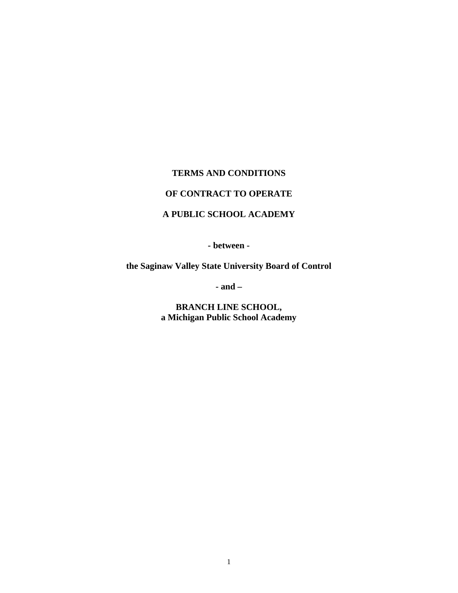#### **TERMS AND CONDITIONS**

# **OF CONTRACT TO OPERATE**

# **A PUBLIC SCHOOL ACADEMY**

**- between -** 

**the Saginaw Valley State University Board of Control** 

**- and –** 

**BRANCH LINE SCHOOL, a Michigan Public School Academy**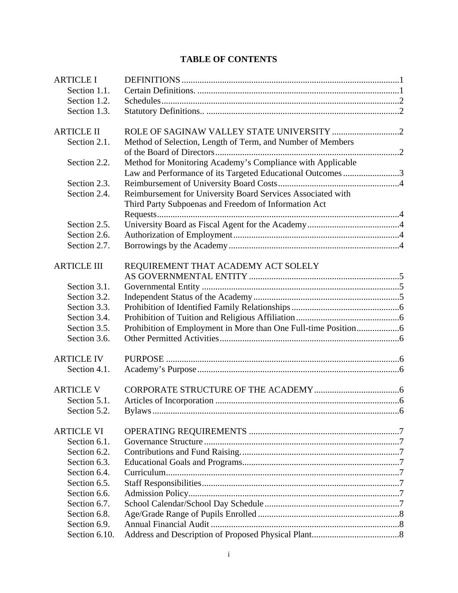# **TABLE OF CONTENTS**

| Section 1.1.<br>Section 1.2.<br>Section 1.3.<br>Section 2.1.<br>Method of Selection, Length of Term, and Number of Members<br>Method for Monitoring Academy's Compliance with Applicable<br>Section 2.2.<br>Law and Performance of its Targeted Educational Outcomes3<br>Section 2.3.<br>Reimbursement for University Board Services Associated with<br>Section 2.4.<br>Third Party Subpoenas and Freedom of Information Act<br>Section 2.5.<br>Section 2.6.<br>Section 2.7.<br>REQUIREMENT THAT ACADEMY ACT SOLELY<br>Section 3.1.<br>Section 3.2.<br>Section 3.3.<br>Section 3.4.<br>Section 3.5.<br>Section 3.6.<br><b>ARTICLE IV</b><br>Section 4.1.<br>Section 5.1.<br>Section 5.2.<br><b>ARTICLE VI</b><br>Section 6.1.<br>Section 6.2.<br>Section 6.3.<br>Section 6.4.<br>Section 6.5.<br>Section 6.6.<br>Section 6.7.<br>Section 6.8.<br>Section 6.9.<br>Section 6.10. | <b>ARTICLE I</b>   |  |
|--------------------------------------------------------------------------------------------------------------------------------------------------------------------------------------------------------------------------------------------------------------------------------------------------------------------------------------------------------------------------------------------------------------------------------------------------------------------------------------------------------------------------------------------------------------------------------------------------------------------------------------------------------------------------------------------------------------------------------------------------------------------------------------------------------------------------------------------------------------------------------|--------------------|--|
|                                                                                                                                                                                                                                                                                                                                                                                                                                                                                                                                                                                                                                                                                                                                                                                                                                                                                |                    |  |
|                                                                                                                                                                                                                                                                                                                                                                                                                                                                                                                                                                                                                                                                                                                                                                                                                                                                                |                    |  |
|                                                                                                                                                                                                                                                                                                                                                                                                                                                                                                                                                                                                                                                                                                                                                                                                                                                                                |                    |  |
|                                                                                                                                                                                                                                                                                                                                                                                                                                                                                                                                                                                                                                                                                                                                                                                                                                                                                | <b>ARTICLE II</b>  |  |
|                                                                                                                                                                                                                                                                                                                                                                                                                                                                                                                                                                                                                                                                                                                                                                                                                                                                                |                    |  |
|                                                                                                                                                                                                                                                                                                                                                                                                                                                                                                                                                                                                                                                                                                                                                                                                                                                                                |                    |  |
|                                                                                                                                                                                                                                                                                                                                                                                                                                                                                                                                                                                                                                                                                                                                                                                                                                                                                |                    |  |
|                                                                                                                                                                                                                                                                                                                                                                                                                                                                                                                                                                                                                                                                                                                                                                                                                                                                                |                    |  |
|                                                                                                                                                                                                                                                                                                                                                                                                                                                                                                                                                                                                                                                                                                                                                                                                                                                                                |                    |  |
|                                                                                                                                                                                                                                                                                                                                                                                                                                                                                                                                                                                                                                                                                                                                                                                                                                                                                |                    |  |
|                                                                                                                                                                                                                                                                                                                                                                                                                                                                                                                                                                                                                                                                                                                                                                                                                                                                                |                    |  |
|                                                                                                                                                                                                                                                                                                                                                                                                                                                                                                                                                                                                                                                                                                                                                                                                                                                                                |                    |  |
|                                                                                                                                                                                                                                                                                                                                                                                                                                                                                                                                                                                                                                                                                                                                                                                                                                                                                |                    |  |
|                                                                                                                                                                                                                                                                                                                                                                                                                                                                                                                                                                                                                                                                                                                                                                                                                                                                                | <b>ARTICLE III</b> |  |
|                                                                                                                                                                                                                                                                                                                                                                                                                                                                                                                                                                                                                                                                                                                                                                                                                                                                                |                    |  |
|                                                                                                                                                                                                                                                                                                                                                                                                                                                                                                                                                                                                                                                                                                                                                                                                                                                                                |                    |  |
|                                                                                                                                                                                                                                                                                                                                                                                                                                                                                                                                                                                                                                                                                                                                                                                                                                                                                |                    |  |
|                                                                                                                                                                                                                                                                                                                                                                                                                                                                                                                                                                                                                                                                                                                                                                                                                                                                                |                    |  |
|                                                                                                                                                                                                                                                                                                                                                                                                                                                                                                                                                                                                                                                                                                                                                                                                                                                                                |                    |  |
|                                                                                                                                                                                                                                                                                                                                                                                                                                                                                                                                                                                                                                                                                                                                                                                                                                                                                |                    |  |
|                                                                                                                                                                                                                                                                                                                                                                                                                                                                                                                                                                                                                                                                                                                                                                                                                                                                                |                    |  |
|                                                                                                                                                                                                                                                                                                                                                                                                                                                                                                                                                                                                                                                                                                                                                                                                                                                                                |                    |  |
|                                                                                                                                                                                                                                                                                                                                                                                                                                                                                                                                                                                                                                                                                                                                                                                                                                                                                |                    |  |
|                                                                                                                                                                                                                                                                                                                                                                                                                                                                                                                                                                                                                                                                                                                                                                                                                                                                                |                    |  |
|                                                                                                                                                                                                                                                                                                                                                                                                                                                                                                                                                                                                                                                                                                                                                                                                                                                                                | <b>ARTICLE V</b>   |  |
|                                                                                                                                                                                                                                                                                                                                                                                                                                                                                                                                                                                                                                                                                                                                                                                                                                                                                |                    |  |
|                                                                                                                                                                                                                                                                                                                                                                                                                                                                                                                                                                                                                                                                                                                                                                                                                                                                                |                    |  |
|                                                                                                                                                                                                                                                                                                                                                                                                                                                                                                                                                                                                                                                                                                                                                                                                                                                                                |                    |  |
|                                                                                                                                                                                                                                                                                                                                                                                                                                                                                                                                                                                                                                                                                                                                                                                                                                                                                |                    |  |
|                                                                                                                                                                                                                                                                                                                                                                                                                                                                                                                                                                                                                                                                                                                                                                                                                                                                                |                    |  |
|                                                                                                                                                                                                                                                                                                                                                                                                                                                                                                                                                                                                                                                                                                                                                                                                                                                                                |                    |  |
|                                                                                                                                                                                                                                                                                                                                                                                                                                                                                                                                                                                                                                                                                                                                                                                                                                                                                |                    |  |
|                                                                                                                                                                                                                                                                                                                                                                                                                                                                                                                                                                                                                                                                                                                                                                                                                                                                                |                    |  |
|                                                                                                                                                                                                                                                                                                                                                                                                                                                                                                                                                                                                                                                                                                                                                                                                                                                                                |                    |  |
|                                                                                                                                                                                                                                                                                                                                                                                                                                                                                                                                                                                                                                                                                                                                                                                                                                                                                |                    |  |
|                                                                                                                                                                                                                                                                                                                                                                                                                                                                                                                                                                                                                                                                                                                                                                                                                                                                                |                    |  |
|                                                                                                                                                                                                                                                                                                                                                                                                                                                                                                                                                                                                                                                                                                                                                                                                                                                                                |                    |  |
|                                                                                                                                                                                                                                                                                                                                                                                                                                                                                                                                                                                                                                                                                                                                                                                                                                                                                |                    |  |
|                                                                                                                                                                                                                                                                                                                                                                                                                                                                                                                                                                                                                                                                                                                                                                                                                                                                                |                    |  |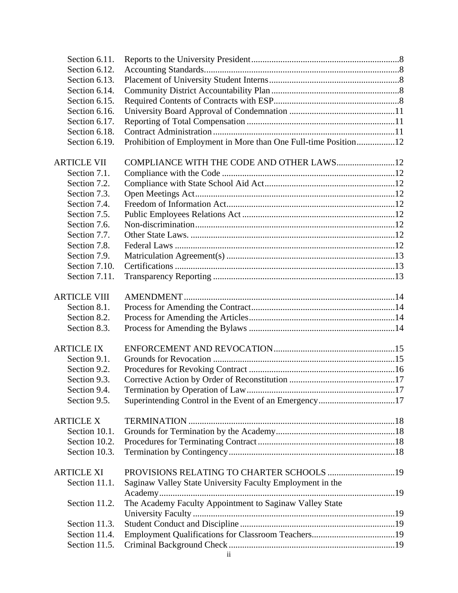| Section 6.11.       |                                                                 |  |
|---------------------|-----------------------------------------------------------------|--|
| Section 6.12.       |                                                                 |  |
| Section 6.13.       |                                                                 |  |
| Section 6.14.       |                                                                 |  |
| Section 6.15.       |                                                                 |  |
| Section 6.16.       |                                                                 |  |
| Section 6.17.       |                                                                 |  |
| Section 6.18.       |                                                                 |  |
| Section 6.19.       | Prohibition of Employment in More than One Full-time Position12 |  |
| <b>ARTICLE VII</b>  | COMPLIANCE WITH THE CODE AND OTHER LAWS 12                      |  |
| Section 7.1.        |                                                                 |  |
| Section 7.2.        |                                                                 |  |
| Section 7.3.        |                                                                 |  |
| Section 7.4.        |                                                                 |  |
| Section 7.5.        |                                                                 |  |
| Section 7.6.        |                                                                 |  |
| Section 7.7.        |                                                                 |  |
| Section 7.8.        |                                                                 |  |
| Section 7.9.        |                                                                 |  |
| Section 7.10.       |                                                                 |  |
| Section 7.11.       |                                                                 |  |
| <b>ARTICLE VIII</b> |                                                                 |  |
| Section 8.1.        |                                                                 |  |
| Section 8.2.        |                                                                 |  |
| Section 8.3.        |                                                                 |  |
| <b>ARTICLE IX</b>   |                                                                 |  |
| Section 9.1.        |                                                                 |  |
| Section 9.2.        |                                                                 |  |
| Section 9.3.        |                                                                 |  |
| Section 9.4.        |                                                                 |  |
| Section 9.5.        |                                                                 |  |
| <b>ARTICLE X</b>    |                                                                 |  |
| Section 10.1.       |                                                                 |  |
| Section 10.2.       |                                                                 |  |
| Section 10.3.       |                                                                 |  |
| <b>ARTICLE XI</b>   |                                                                 |  |
| Section 11.1.       | Saginaw Valley State University Faculty Employment in the       |  |
|                     |                                                                 |  |
| Section 11.2.       | The Academy Faculty Appointment to Saginaw Valley State         |  |
|                     |                                                                 |  |
| Section 11.3.       |                                                                 |  |
| Section 11.4.       |                                                                 |  |
| Section 11.5.       |                                                                 |  |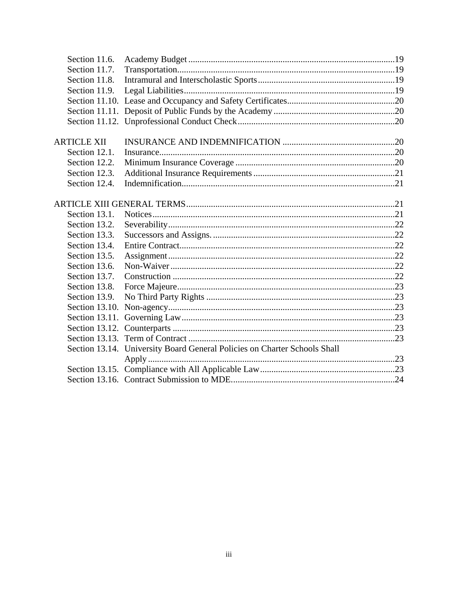| Section 11.6.      |                                                                           |  |
|--------------------|---------------------------------------------------------------------------|--|
| Section 11.7.      |                                                                           |  |
| Section 11.8.      |                                                                           |  |
| Section 11.9.      |                                                                           |  |
|                    |                                                                           |  |
|                    |                                                                           |  |
|                    |                                                                           |  |
|                    |                                                                           |  |
| <b>ARTICLE XII</b> |                                                                           |  |
| Section 12.1.      |                                                                           |  |
| Section 12.2.      |                                                                           |  |
| Section 12.3.      |                                                                           |  |
| Section 12.4.      |                                                                           |  |
|                    |                                                                           |  |
|                    |                                                                           |  |
| Section 13.1.      |                                                                           |  |
| Section 13.2.      |                                                                           |  |
| Section 13.3.      |                                                                           |  |
| Section 13.4.      |                                                                           |  |
| Section 13.5.      |                                                                           |  |
| Section 13.6.      |                                                                           |  |
| Section 13.7.      |                                                                           |  |
| Section 13.8.      |                                                                           |  |
| Section 13.9.      |                                                                           |  |
|                    |                                                                           |  |
|                    |                                                                           |  |
|                    |                                                                           |  |
|                    |                                                                           |  |
|                    | Section 13.14. University Board General Policies on Charter Schools Shall |  |
|                    |                                                                           |  |
|                    |                                                                           |  |
|                    |                                                                           |  |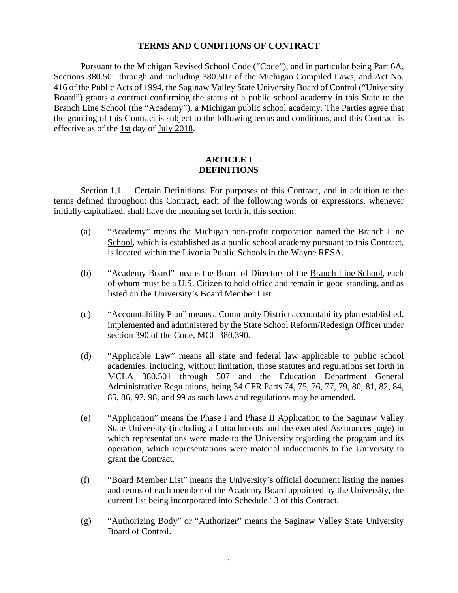#### **TERMS AND CONDITIONS OF CONTRACT**

 Pursuant to the Michigan Revised School Code ("Code"), and in particular being Part 6A, Sections 380.501 through and including 380.507 of the Michigan Compiled Laws, and Act No. 416 of the Public Acts of 1994, the Saginaw Valley State University Board of Control ("University Board") grants a contract confirming the status of a public school academy in this State to the Branch Line School (the "Academy"), a Michigan public school academy. The Parties agree that the granting of this Contract is subject to the following terms and conditions, and this Contract is effective as of the 1st day of July 2018.

### **ARTICLE I DEFINITIONS**

Section 1.1. Certain Definitions. For purposes of this Contract, and in addition to the terms defined throughout this Contract, each of the following words or expressions, whenever initially capitalized, shall have the meaning set forth in this section:

- (a) "Academy" means the Michigan non-profit corporation named the Branch Line School, which is established as a public school academy pursuant to this Contract, is located within the Livonia Public Schools in the Wayne RESA.
- (b) "Academy Board" means the Board of Directors of the Branch Line School, each of whom must be a U.S. Citizen to hold office and remain in good standing, and as listed on the University's Board Member List.
- (c) "Accountability Plan" means a Community District accountability plan established, implemented and administered by the State School Reform/Redesign Officer under section 390 of the Code, MCL 380.390.
- (d) "Applicable Law" means all state and federal law applicable to public school academies, including, without limitation, those statutes and regulations set forth in MCLA 380.501 through 507 and the Education Department General Administrative Regulations, being 34 CFR Parts 74, 75, 76, 77, 79, 80, 81, 82, 84, 85, 86, 97, 98, and 99 as such laws and regulations may be amended.
- (e) "Application" means the Phase I and Phase II Application to the Saginaw Valley State University (including all attachments and the executed Assurances page) in which representations were made to the University regarding the program and its operation, which representations were material inducements to the University to grant the Contract.
- (f) "Board Member List" means the University's official document listing the names and terms of each member of the Academy Board appointed by the University, the current list being incorporated into Schedule 13 of this Contract.
- (g) "Authorizing Body" or "Authorizer" means the Saginaw Valley State University Board of Control.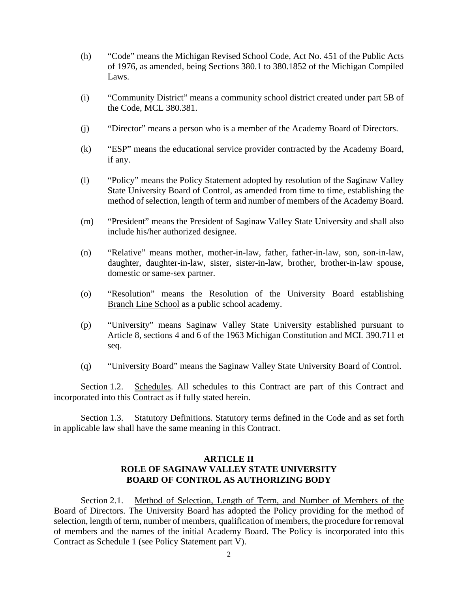- (h) "Code" means the Michigan Revised School Code, Act No. 451 of the Public Acts of 1976, as amended, being Sections 380.1 to 380.1852 of the Michigan Compiled Laws.
- (i) "Community District" means a community school district created under part 5B of the Code, MCL 380.381.
- (j) "Director" means a person who is a member of the Academy Board of Directors.
- (k) "ESP" means the educational service provider contracted by the Academy Board, if any.
- (l) "Policy" means the Policy Statement adopted by resolution of the Saginaw Valley State University Board of Control, as amended from time to time, establishing the method of selection, length of term and number of members of the Academy Board.
- (m) "President" means the President of Saginaw Valley State University and shall also include his/her authorized designee.
- (n) "Relative" means mother, mother-in-law, father, father-in-law, son, son-in-law, daughter, daughter-in-law, sister, sister-in-law, brother, brother-in-law spouse, domestic or same-sex partner.
- (o) "Resolution" means the Resolution of the University Board establishing Branch Line School as a public school academy.
- (p) "University" means Saginaw Valley State University established pursuant to Article 8, sections 4 and 6 of the 1963 Michigan Constitution and MCL 390.711 et seq.
- (q) "University Board" means the Saginaw Valley State University Board of Control.

Section 1.2. Schedules. All schedules to this Contract are part of this Contract and incorporated into this Contract as if fully stated herein.

Section 1.3. Statutory Definitions. Statutory terms defined in the Code and as set forth in applicable law shall have the same meaning in this Contract.

# **ARTICLE II ROLE OF SAGINAW VALLEY STATE UNIVERSITY BOARD OF CONTROL AS AUTHORIZING BODY**

Section 2.1. Method of Selection, Length of Term, and Number of Members of the Board of Directors. The University Board has adopted the Policy providing for the method of selection, length of term, number of members, qualification of members, the procedure for removal of members and the names of the initial Academy Board. The Policy is incorporated into this Contract as Schedule 1 (see Policy Statement part V).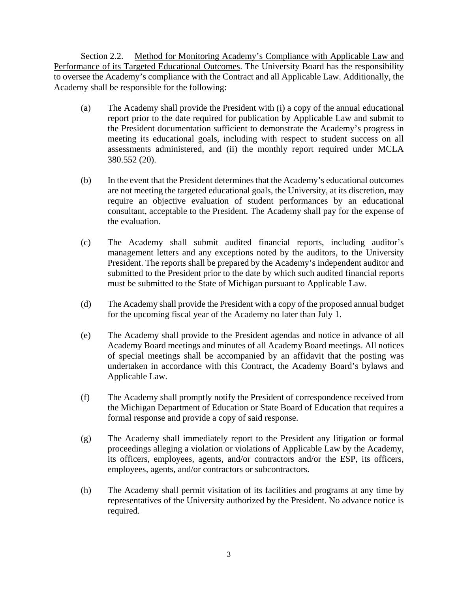Section 2.2. Method for Monitoring Academy's Compliance with Applicable Law and Performance of its Targeted Educational Outcomes. The University Board has the responsibility to oversee the Academy's compliance with the Contract and all Applicable Law. Additionally, the Academy shall be responsible for the following:

- (a) The Academy shall provide the President with (i) a copy of the annual educational report prior to the date required for publication by Applicable Law and submit to the President documentation sufficient to demonstrate the Academy's progress in meeting its educational goals, including with respect to student success on all assessments administered, and (ii) the monthly report required under MCLA 380.552 (20).
- (b) In the event that the President determines that the Academy's educational outcomes are not meeting the targeted educational goals, the University, at its discretion, may require an objective evaluation of student performances by an educational consultant, acceptable to the President. The Academy shall pay for the expense of the evaluation.
- (c) The Academy shall submit audited financial reports, including auditor's management letters and any exceptions noted by the auditors, to the University President. The reports shall be prepared by the Academy's independent auditor and submitted to the President prior to the date by which such audited financial reports must be submitted to the State of Michigan pursuant to Applicable Law.
- (d) The Academy shall provide the President with a copy of the proposed annual budget for the upcoming fiscal year of the Academy no later than July 1.
- (e) The Academy shall provide to the President agendas and notice in advance of all Academy Board meetings and minutes of all Academy Board meetings. All notices of special meetings shall be accompanied by an affidavit that the posting was undertaken in accordance with this Contract, the Academy Board's bylaws and Applicable Law.
- (f) The Academy shall promptly notify the President of correspondence received from the Michigan Department of Education or State Board of Education that requires a formal response and provide a copy of said response.
- (g) The Academy shall immediately report to the President any litigation or formal proceedings alleging a violation or violations of Applicable Law by the Academy, its officers, employees, agents, and/or contractors and/or the ESP, its officers, employees, agents, and/or contractors or subcontractors.
- (h) The Academy shall permit visitation of its facilities and programs at any time by representatives of the University authorized by the President. No advance notice is required.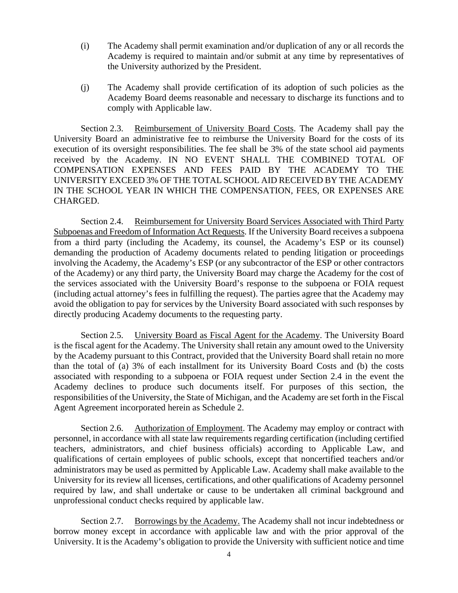- (i) The Academy shall permit examination and/or duplication of any or all records the Academy is required to maintain and/or submit at any time by representatives of the University authorized by the President.
- (j) The Academy shall provide certification of its adoption of such policies as the Academy Board deems reasonable and necessary to discharge its functions and to comply with Applicable law.

Section 2.3. Reimbursement of University Board Costs. The Academy shall pay the University Board an administrative fee to reimburse the University Board for the costs of its execution of its oversight responsibilities. The fee shall be 3% of the state school aid payments received by the Academy. IN NO EVENT SHALL THE COMBINED TOTAL OF COMPENSATION EXPENSES AND FEES PAID BY THE ACADEMY TO THE UNIVERSITY EXCEED 3% OF THE TOTAL SCHOOL AID RECEIVED BY THE ACADEMY IN THE SCHOOL YEAR IN WHICH THE COMPENSATION, FEES, OR EXPENSES ARE CHARGED.

Section 2.4. Reimbursement for University Board Services Associated with Third Party Subpoenas and Freedom of Information Act Requests. If the University Board receives a subpoena from a third party (including the Academy, its counsel, the Academy's ESP or its counsel) demanding the production of Academy documents related to pending litigation or proceedings involving the Academy, the Academy's ESP (or any subcontractor of the ESP or other contractors of the Academy) or any third party, the University Board may charge the Academy for the cost of the services associated with the University Board's response to the subpoena or FOIA request (including actual attorney's fees in fulfilling the request). The parties agree that the Academy may avoid the obligation to pay for services by the University Board associated with such responses by directly producing Academy documents to the requesting party.

Section 2.5. University Board as Fiscal Agent for the Academy. The University Board is the fiscal agent for the Academy. The University shall retain any amount owed to the University by the Academy pursuant to this Contract, provided that the University Board shall retain no more than the total of (a) 3% of each installment for its University Board Costs and (b) the costs associated with responding to a subpoena or FOIA request under Section 2.4 in the event the Academy declines to produce such documents itself. For purposes of this section, the responsibilities of the University, the State of Michigan, and the Academy are set forth in the Fiscal Agent Agreement incorporated herein as Schedule 2.

Section 2.6. Authorization of Employment. The Academy may employ or contract with personnel, in accordance with all state law requirements regarding certification (including certified teachers, administrators, and chief business officials) according to Applicable Law, and qualifications of certain employees of public schools, except that noncertified teachers and/or administrators may be used as permitted by Applicable Law. Academy shall make available to the University for its review all licenses, certifications, and other qualifications of Academy personnel required by law, and shall undertake or cause to be undertaken all criminal background and unprofessional conduct checks required by applicable law.

Section 2.7. Borrowings by the Academy. The Academy shall not incur indebtedness or borrow money except in accordance with applicable law and with the prior approval of the University. It is the Academy's obligation to provide the University with sufficient notice and time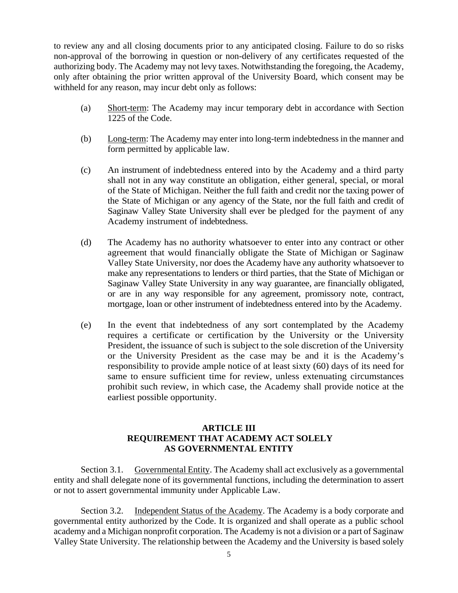to review any and all closing documents prior to any anticipated closing. Failure to do so risks non-approval of the borrowing in question or non-delivery of any certificates requested of the authorizing body. The Academy may not levy taxes. Notwithstanding the foregoing, the Academy, only after obtaining the prior written approval of the University Board, which consent may be withheld for any reason, may incur debt only as follows:

- (a) Short-term: The Academy may incur temporary debt in accordance with Section 1225 of the Code.
- (b) Long-term: The Academy may enter into long-term indebtedness in the manner and form permitted by applicable law.
- (c) An instrument of indebtedness entered into by the Academy and a third party shall not in any way constitute an obligation, either general, special, or moral of the State of Michigan. Neither the full faith and credit nor the taxing power of the State of Michigan or any agency of the State, nor the full faith and credit of Saginaw Valley State University shall ever be pledged for the payment of any Academy instrument of indebtedness.
- (d) The Academy has no authority whatsoever to enter into any contract or other agreement that would financially obligate the State of Michigan or Saginaw Valley State University, nor does the Academy have any authority whatsoever to make any representations to lenders or third parties, that the State of Michigan or Saginaw Valley State University in any way guarantee, are financially obligated, or are in any way responsible for any agreement, promissory note, contract, mortgage, loan or other instrument of indebtedness entered into by the Academy.
- (e) In the event that indebtedness of any sort contemplated by the Academy requires a certificate or certification by the University or the University President, the issuance of such is subject to the sole discretion of the University or the University President as the case may be and it is the Academy's responsibility to provide ample notice of at least sixty (60) days of its need for same to ensure sufficient time for review, unless extenuating circumstances prohibit such review, in which case, the Academy shall provide notice at the earliest possible opportunity.

# **ARTICLE III REQUIREMENT THAT ACADEMY ACT SOLELY AS GOVERNMENTAL ENTITY**

Section 3.1. Governmental Entity. The Academy shall act exclusively as a governmental entity and shall delegate none of its governmental functions, including the determination to assert or not to assert governmental immunity under Applicable Law.

Section 3.2. Independent Status of the Academy. The Academy is a body corporate and governmental entity authorized by the Code. It is organized and shall operate as a public school academy and a Michigan nonprofit corporation. The Academy is not a division or a part of Saginaw Valley State University. The relationship between the Academy and the University is based solely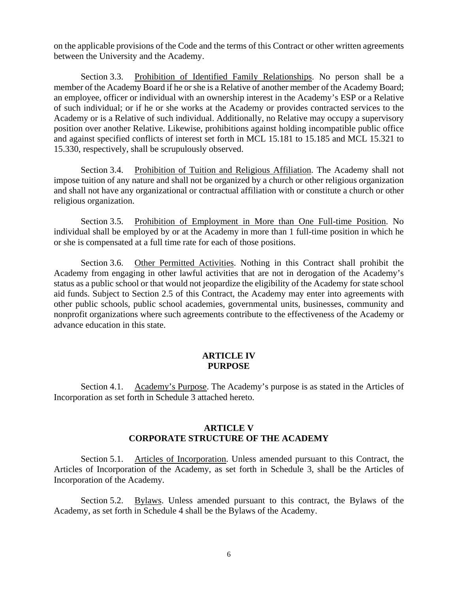on the applicable provisions of the Code and the terms of this Contract or other written agreements between the University and the Academy.

Section 3.3. Prohibition of Identified Family Relationships. No person shall be a member of the Academy Board if he or she is a Relative of another member of the Academy Board; an employee, officer or individual with an ownership interest in the Academy's ESP or a Relative of such individual; or if he or she works at the Academy or provides contracted services to the Academy or is a Relative of such individual. Additionally, no Relative may occupy a supervisory position over another Relative. Likewise, prohibitions against holding incompatible public office and against specified conflicts of interest set forth in MCL 15.181 to 15.185 and MCL 15.321 to 15.330, respectively, shall be scrupulously observed.

Section 3.4. Prohibition of Tuition and Religious Affiliation. The Academy shall not impose tuition of any nature and shall not be organized by a church or other religious organization and shall not have any organizational or contractual affiliation with or constitute a church or other religious organization.

Section 3.5. Prohibition of Employment in More than One Full-time Position. No individual shall be employed by or at the Academy in more than 1 full-time position in which he or she is compensated at a full time rate for each of those positions.

Section 3.6. Other Permitted Activities. Nothing in this Contract shall prohibit the Academy from engaging in other lawful activities that are not in derogation of the Academy's status as a public school or that would not jeopardize the eligibility of the Academy for state school aid funds. Subject to Section 2.5 of this Contract, the Academy may enter into agreements with other public schools, public school academies, governmental units, businesses, community and nonprofit organizations where such agreements contribute to the effectiveness of the Academy or advance education in this state.

#### **ARTICLE IV PURPOSE**

Section 4.1. Academy's Purpose. The Academy's purpose is as stated in the Articles of Incorporation as set forth in Schedule 3 attached hereto.

# **ARTICLE V CORPORATE STRUCTURE OF THE ACADEMY**

Section 5.1. Articles of Incorporation. Unless amended pursuant to this Contract, the Articles of Incorporation of the Academy, as set forth in Schedule 3, shall be the Articles of Incorporation of the Academy.

Section 5.2. Bylaws. Unless amended pursuant to this contract, the Bylaws of the Academy, as set forth in Schedule 4 shall be the Bylaws of the Academy.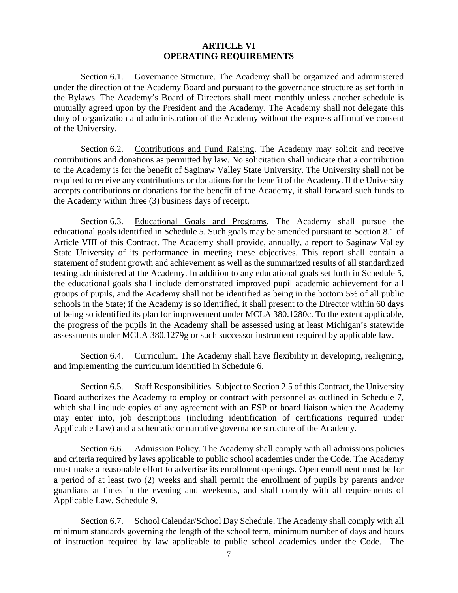#### **ARTICLE VI OPERATING REQUIREMENTS**

Section 6.1. Governance Structure. The Academy shall be organized and administered under the direction of the Academy Board and pursuant to the governance structure as set forth in the Bylaws. The Academy's Board of Directors shall meet monthly unless another schedule is mutually agreed upon by the President and the Academy. The Academy shall not delegate this duty of organization and administration of the Academy without the express affirmative consent of the University.

Section 6.2. Contributions and Fund Raising. The Academy may solicit and receive contributions and donations as permitted by law. No solicitation shall indicate that a contribution to the Academy is for the benefit of Saginaw Valley State University. The University shall not be required to receive any contributions or donations for the benefit of the Academy. If the University accepts contributions or donations for the benefit of the Academy, it shall forward such funds to the Academy within three (3) business days of receipt.

Section 6.3. Educational Goals and Programs. The Academy shall pursue the educational goals identified in Schedule 5. Such goals may be amended pursuant to Section 8.1 of Article VIII of this Contract. The Academy shall provide, annually, a report to Saginaw Valley State University of its performance in meeting these objectives. This report shall contain a statement of student growth and achievement as well as the summarized results of all standardized testing administered at the Academy. In addition to any educational goals set forth in Schedule 5, the educational goals shall include demonstrated improved pupil academic achievement for all groups of pupils, and the Academy shall not be identified as being in the bottom 5% of all public schools in the State; if the Academy is so identified, it shall present to the Director within 60 days of being so identified its plan for improvement under MCLA 380.1280c. To the extent applicable, the progress of the pupils in the Academy shall be assessed using at least Michigan's statewide assessments under MCLA 380.1279g or such successor instrument required by applicable law.

Section 6.4. Curriculum. The Academy shall have flexibility in developing, realigning, and implementing the curriculum identified in Schedule 6.

Section 6.5. Staff Responsibilities. Subject to Section 2.5 of this Contract, the University Board authorizes the Academy to employ or contract with personnel as outlined in Schedule 7, which shall include copies of any agreement with an ESP or board liaison which the Academy may enter into, job descriptions (including identification of certifications required under Applicable Law) and a schematic or narrative governance structure of the Academy.

Section 6.6. Admission Policy. The Academy shall comply with all admissions policies and criteria required by laws applicable to public school academies under the Code. The Academy must make a reasonable effort to advertise its enrollment openings. Open enrollment must be for a period of at least two (2) weeks and shall permit the enrollment of pupils by parents and/or guardians at times in the evening and weekends, and shall comply with all requirements of Applicable Law. Schedule 9.

Section 6.7. School Calendar/School Day Schedule. The Academy shall comply with all minimum standards governing the length of the school term, minimum number of days and hours of instruction required by law applicable to public school academies under the Code. The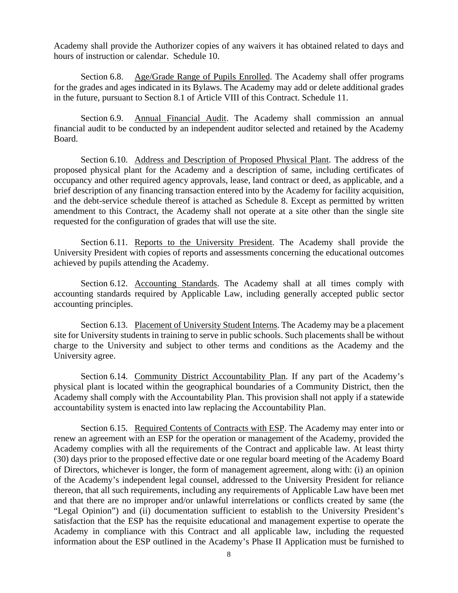Academy shall provide the Authorizer copies of any waivers it has obtained related to days and hours of instruction or calendar. Schedule 10.

Section 6.8. Age/Grade Range of Pupils Enrolled. The Academy shall offer programs for the grades and ages indicated in its Bylaws. The Academy may add or delete additional grades in the future, pursuant to Section 8.1 of Article VIII of this Contract. Schedule 11.

Section 6.9. Annual Financial Audit. The Academy shall commission an annual financial audit to be conducted by an independent auditor selected and retained by the Academy Board.

Section 6.10. Address and Description of Proposed Physical Plant. The address of the proposed physical plant for the Academy and a description of same, including certificates of occupancy and other required agency approvals, lease, land contract or deed, as applicable, and a brief description of any financing transaction entered into by the Academy for facility acquisition, and the debt-service schedule thereof is attached as Schedule 8. Except as permitted by written amendment to this Contract, the Academy shall not operate at a site other than the single site requested for the configuration of grades that will use the site.

Section 6.11. Reports to the University President. The Academy shall provide the University President with copies of reports and assessments concerning the educational outcomes achieved by pupils attending the Academy.

Section 6.12. Accounting Standards. The Academy shall at all times comply with accounting standards required by Applicable Law, including generally accepted public sector accounting principles.

Section 6.13. Placement of University Student Interns. The Academy may be a placement site for University students in training to serve in public schools. Such placements shall be without charge to the University and subject to other terms and conditions as the Academy and the University agree.

Section 6.14. Community District Accountability Plan. If any part of the Academy's physical plant is located within the geographical boundaries of a Community District, then the Academy shall comply with the Accountability Plan. This provision shall not apply if a statewide accountability system is enacted into law replacing the Accountability Plan.

Section 6.15. Required Contents of Contracts with ESP. The Academy may enter into or renew an agreement with an ESP for the operation or management of the Academy, provided the Academy complies with all the requirements of the Contract and applicable law. At least thirty (30) days prior to the proposed effective date or one regular board meeting of the Academy Board of Directors, whichever is longer, the form of management agreement, along with: (i) an opinion of the Academy's independent legal counsel, addressed to the University President for reliance thereon, that all such requirements, including any requirements of Applicable Law have been met and that there are no improper and/or unlawful interrelations or conflicts created by same (the "Legal Opinion") and (ii) documentation sufficient to establish to the University President's satisfaction that the ESP has the requisite educational and management expertise to operate the Academy in compliance with this Contract and all applicable law, including the requested information about the ESP outlined in the Academy's Phase II Application must be furnished to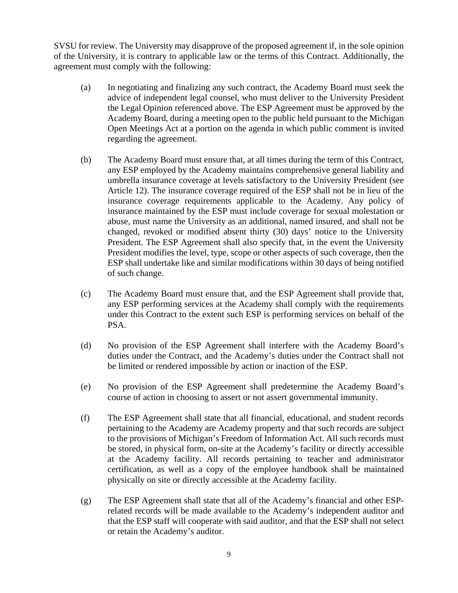SVSU for review. The University may disapprove of the proposed agreement if, in the sole opinion of the University, it is contrary to applicable law or the terms of this Contract. Additionally, the agreement must comply with the following:

- (a) In negotiating and finalizing any such contract, the Academy Board must seek the advice of independent legal counsel, who must deliver to the University President the Legal Opinion referenced above. The ESP Agreement must be approved by the Academy Board, during a meeting open to the public held pursuant to the Michigan Open Meetings Act at a portion on the agenda in which public comment is invited regarding the agreement.
- (b) The Academy Board must ensure that, at all times during the term of this Contract, any ESP employed by the Academy maintains comprehensive general liability and umbrella insurance coverage at levels satisfactory to the University President (see Article 12). The insurance coverage required of the ESP shall not be in lieu of the insurance coverage requirements applicable to the Academy. Any policy of insurance maintained by the ESP must include coverage for sexual molestation or abuse, must name the University as an additional, named insured, and shall not be changed, revoked or modified absent thirty (30) days' notice to the University President. The ESP Agreement shall also specify that, in the event the University President modifies the level, type, scope or other aspects of such coverage, then the ESP shall undertake like and similar modifications within 30 days of being notified of such change.
- (c) The Academy Board must ensure that, and the ESP Agreement shall provide that, any ESP performing services at the Academy shall comply with the requirements under this Contract to the extent such ESP is performing services on behalf of the PSA.
- (d) No provision of the ESP Agreement shall interfere with the Academy Board's duties under the Contract, and the Academy's duties under the Contract shall not be limited or rendered impossible by action or inaction of the ESP.
- (e) No provision of the ESP Agreement shall predetermine the Academy Board's course of action in choosing to assert or not assert governmental immunity.
- (f) The ESP Agreement shall state that all financial, educational, and student records pertaining to the Academy are Academy property and that such records are subject to the provisions of Michigan's Freedom of Information Act. All such records must be stored, in physical form, on-site at the Academy's facility or directly accessible at the Academy facility. All records pertaining to teacher and administrator certification, as well as a copy of the employee handbook shall be maintained physically on site or directly accessible at the Academy facility.
- (g) The ESP Agreement shall state that all of the Academy's financial and other ESPrelated records will be made available to the Academy's independent auditor and that the ESP staff will cooperate with said auditor, and that the ESP shall not select or retain the Academy's auditor.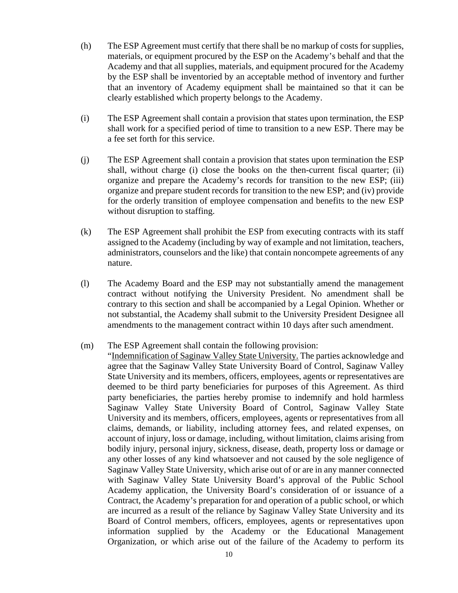- (h) The ESP Agreement must certify that there shall be no markup of costs for supplies, materials, or equipment procured by the ESP on the Academy's behalf and that the Academy and that all supplies, materials, and equipment procured for the Academy by the ESP shall be inventoried by an acceptable method of inventory and further that an inventory of Academy equipment shall be maintained so that it can be clearly established which property belongs to the Academy.
- (i) The ESP Agreement shall contain a provision that states upon termination, the ESP shall work for a specified period of time to transition to a new ESP. There may be a fee set forth for this service.
- (j) The ESP Agreement shall contain a provision that states upon termination the ESP shall, without charge (i) close the books on the then-current fiscal quarter; (ii) organize and prepare the Academy's records for transition to the new ESP; (iii) organize and prepare student records for transition to the new ESP; and (iv) provide for the orderly transition of employee compensation and benefits to the new ESP without disruption to staffing.
- (k) The ESP Agreement shall prohibit the ESP from executing contracts with its staff assigned to the Academy (including by way of example and not limitation, teachers, administrators, counselors and the like) that contain noncompete agreements of any nature.
- (l) The Academy Board and the ESP may not substantially amend the management contract without notifying the University President. No amendment shall be contrary to this section and shall be accompanied by a Legal Opinion. Whether or not substantial, the Academy shall submit to the University President Designee all amendments to the management contract within 10 days after such amendment.

## (m) The ESP Agreement shall contain the following provision:

"Indemnification of Saginaw Valley State University. The parties acknowledge and agree that the Saginaw Valley State University Board of Control, Saginaw Valley State University and its members, officers, employees, agents or representatives are deemed to be third party beneficiaries for purposes of this Agreement. As third party beneficiaries, the parties hereby promise to indemnify and hold harmless Saginaw Valley State University Board of Control, Saginaw Valley State University and its members, officers, employees, agents or representatives from all claims, demands, or liability, including attorney fees, and related expenses, on account of injury, loss or damage, including, without limitation, claims arising from bodily injury, personal injury, sickness, disease, death, property loss or damage or any other losses of any kind whatsoever and not caused by the sole negligence of Saginaw Valley State University, which arise out of or are in any manner connected with Saginaw Valley State University Board's approval of the Public School Academy application, the University Board's consideration of or issuance of a Contract, the Academy's preparation for and operation of a public school, or which are incurred as a result of the reliance by Saginaw Valley State University and its Board of Control members, officers, employees, agents or representatives upon information supplied by the Academy or the Educational Management Organization, or which arise out of the failure of the Academy to perform its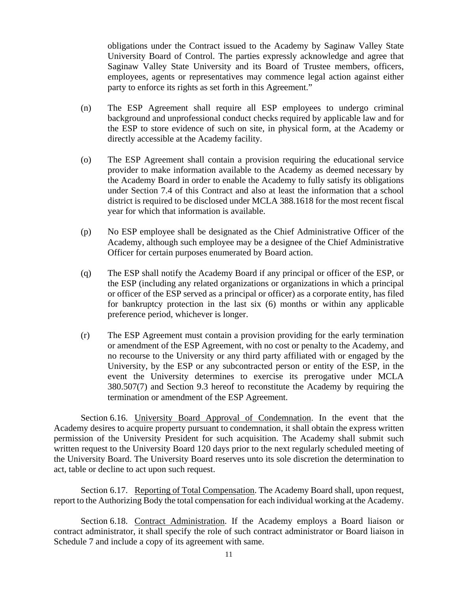obligations under the Contract issued to the Academy by Saginaw Valley State University Board of Control. The parties expressly acknowledge and agree that Saginaw Valley State University and its Board of Trustee members, officers, employees, agents or representatives may commence legal action against either party to enforce its rights as set forth in this Agreement."

- (n) The ESP Agreement shall require all ESP employees to undergo criminal background and unprofessional conduct checks required by applicable law and for the ESP to store evidence of such on site, in physical form, at the Academy or directly accessible at the Academy facility.
- (o) The ESP Agreement shall contain a provision requiring the educational service provider to make information available to the Academy as deemed necessary by the Academy Board in order to enable the Academy to fully satisfy its obligations under Section 7.4 of this Contract and also at least the information that a school district is required to be disclosed under MCLA 388.1618 for the most recent fiscal year for which that information is available.
- (p) No ESP employee shall be designated as the Chief Administrative Officer of the Academy, although such employee may be a designee of the Chief Administrative Officer for certain purposes enumerated by Board action.
- (q) The ESP shall notify the Academy Board if any principal or officer of the ESP, or the ESP (including any related organizations or organizations in which a principal or officer of the ESP served as a principal or officer) as a corporate entity, has filed for bankruptcy protection in the last six (6) months or within any applicable preference period, whichever is longer.
- (r) The ESP Agreement must contain a provision providing for the early termination or amendment of the ESP Agreement, with no cost or penalty to the Academy, and no recourse to the University or any third party affiliated with or engaged by the University, by the ESP or any subcontracted person or entity of the ESP, in the event the University determines to exercise its prerogative under MCLA 380.507(7) and Section 9.3 hereof to reconstitute the Academy by requiring the termination or amendment of the ESP Agreement.

Section 6.16. University Board Approval of Condemnation. In the event that the Academy desires to acquire property pursuant to condemnation, it shall obtain the express written permission of the University President for such acquisition. The Academy shall submit such written request to the University Board 120 days prior to the next regularly scheduled meeting of the University Board. The University Board reserves unto its sole discretion the determination to act, table or decline to act upon such request.

Section 6.17. Reporting of Total Compensation. The Academy Board shall, upon request, report to the Authorizing Body the total compensation for each individual working at the Academy.

Section 6.18. Contract Administration. If the Academy employs a Board liaison or contract administrator, it shall specify the role of such contract administrator or Board liaison in Schedule 7 and include a copy of its agreement with same.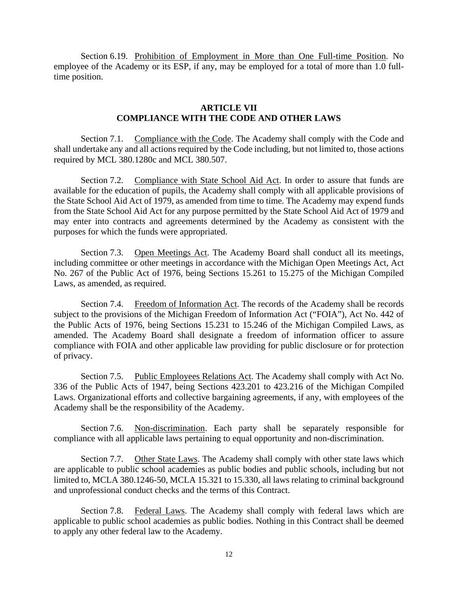Section 6.19. Prohibition of Employment in More than One Full-time Position. No employee of the Academy or its ESP, if any, may be employed for a total of more than 1.0 fulltime position.

### **ARTICLE VII COMPLIANCE WITH THE CODE AND OTHER LAWS**

Section 7.1. Compliance with the Code. The Academy shall comply with the Code and shall undertake any and all actions required by the Code including, but not limited to, those actions required by MCL 380.1280c and MCL 380.507.

Section 7.2. Compliance with State School Aid Act. In order to assure that funds are available for the education of pupils, the Academy shall comply with all applicable provisions of the State School Aid Act of 1979, as amended from time to time. The Academy may expend funds from the State School Aid Act for any purpose permitted by the State School Aid Act of 1979 and may enter into contracts and agreements determined by the Academy as consistent with the purposes for which the funds were appropriated.

Section 7.3. Open Meetings Act. The Academy Board shall conduct all its meetings, including committee or other meetings in accordance with the Michigan Open Meetings Act, Act No. 267 of the Public Act of 1976, being Sections 15.261 to 15.275 of the Michigan Compiled Laws, as amended, as required.

Section 7.4. Freedom of Information Act. The records of the Academy shall be records subject to the provisions of the Michigan Freedom of Information Act ("FOIA"), Act No. 442 of the Public Acts of 1976, being Sections 15.231 to 15.246 of the Michigan Compiled Laws, as amended. The Academy Board shall designate a freedom of information officer to assure compliance with FOIA and other applicable law providing for public disclosure or for protection of privacy.

Section 7.5. Public Employees Relations Act. The Academy shall comply with Act No. 336 of the Public Acts of 1947, being Sections 423.201 to 423.216 of the Michigan Compiled Laws. Organizational efforts and collective bargaining agreements, if any, with employees of the Academy shall be the responsibility of the Academy.

Section 7.6. Non-discrimination. Each party shall be separately responsible for compliance with all applicable laws pertaining to equal opportunity and non-discrimination.

Section 7.7. Other State Laws. The Academy shall comply with other state laws which are applicable to public school academies as public bodies and public schools, including but not limited to, MCLA 380.1246-50, MCLA 15.321 to 15.330, all laws relating to criminal background and unprofessional conduct checks and the terms of this Contract.

Section 7.8. Federal Laws. The Academy shall comply with federal laws which are applicable to public school academies as public bodies. Nothing in this Contract shall be deemed to apply any other federal law to the Academy.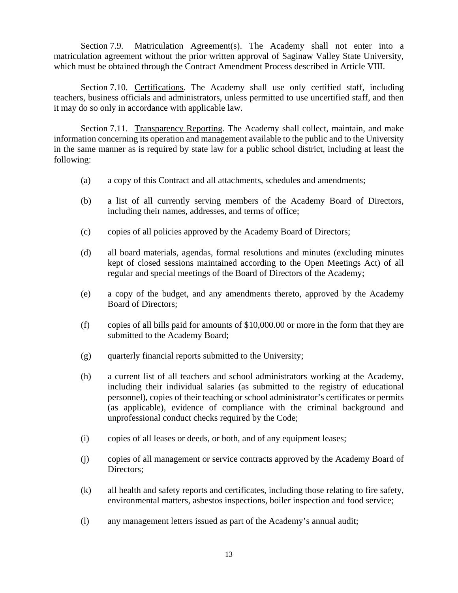Section 7.9. Matriculation Agreement(s). The Academy shall not enter into a matriculation agreement without the prior written approval of Saginaw Valley State University, which must be obtained through the Contract Amendment Process described in Article VIII.

Section 7.10. Certifications. The Academy shall use only certified staff, including teachers, business officials and administrators, unless permitted to use uncertified staff, and then it may do so only in accordance with applicable law.

Section 7.11. Transparency Reporting. The Academy shall collect, maintain, and make information concerning its operation and management available to the public and to the University in the same manner as is required by state law for a public school district, including at least the following:

- (a) a copy of this Contract and all attachments, schedules and amendments;
- (b) a list of all currently serving members of the Academy Board of Directors, including their names, addresses, and terms of office;
- (c) copies of all policies approved by the Academy Board of Directors;
- (d) all board materials, agendas, formal resolutions and minutes (excluding minutes kept of closed sessions maintained according to the Open Meetings Act) of all regular and special meetings of the Board of Directors of the Academy;
- (e) a copy of the budget, and any amendments thereto, approved by the Academy Board of Directors;
- (f) copies of all bills paid for amounts of \$10,000.00 or more in the form that they are submitted to the Academy Board;
- (g) quarterly financial reports submitted to the University;
- (h) a current list of all teachers and school administrators working at the Academy, including their individual salaries (as submitted to the registry of educational personnel), copies of their teaching or school administrator's certificates or permits (as applicable), evidence of compliance with the criminal background and unprofessional conduct checks required by the Code;
- (i) copies of all leases or deeds, or both, and of any equipment leases;
- (j) copies of all management or service contracts approved by the Academy Board of Directors;
- (k) all health and safety reports and certificates, including those relating to fire safety, environmental matters, asbestos inspections, boiler inspection and food service;
- (l) any management letters issued as part of the Academy's annual audit;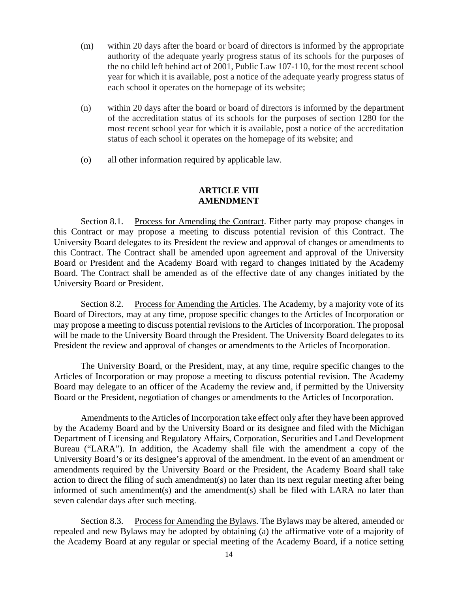- (m) within 20 days after the board or board of directors is informed by the appropriate authority of the adequate yearly progress status of its schools for the purposes of the no child left behind act of 2001, Public Law 107-110, for the most recent school year for which it is available, post a notice of the adequate yearly progress status of each school it operates on the homepage of its website;
- (n) within 20 days after the board or board of directors is informed by the department of the accreditation status of its schools for the purposes of section 1280 for the most recent school year for which it is available, post a notice of the accreditation status of each school it operates on the homepage of its website; and
- (o) all other information required by applicable law.

#### **ARTICLE VIII AMENDMENT**

Section 8.1. Process for Amending the Contract. Either party may propose changes in this Contract or may propose a meeting to discuss potential revision of this Contract. The University Board delegates to its President the review and approval of changes or amendments to this Contract. The Contract shall be amended upon agreement and approval of the University Board or President and the Academy Board with regard to changes initiated by the Academy Board. The Contract shall be amended as of the effective date of any changes initiated by the University Board or President.

Section 8.2. Process for Amending the Articles. The Academy, by a majority vote of its Board of Directors, may at any time, propose specific changes to the Articles of Incorporation or may propose a meeting to discuss potential revisions to the Articles of Incorporation. The proposal will be made to the University Board through the President. The University Board delegates to its President the review and approval of changes or amendments to the Articles of Incorporation.

 The University Board, or the President, may, at any time, require specific changes to the Articles of Incorporation or may propose a meeting to discuss potential revision. The Academy Board may delegate to an officer of the Academy the review and, if permitted by the University Board or the President, negotiation of changes or amendments to the Articles of Incorporation.

 Amendments to the Articles of Incorporation take effect only after they have been approved by the Academy Board and by the University Board or its designee and filed with the Michigan Department of Licensing and Regulatory Affairs, Corporation, Securities and Land Development Bureau ("LARA"). In addition, the Academy shall file with the amendment a copy of the University Board's or its designee's approval of the amendment. In the event of an amendment or amendments required by the University Board or the President, the Academy Board shall take action to direct the filing of such amendment(s) no later than its next regular meeting after being informed of such amendment(s) and the amendment(s) shall be filed with LARA no later than seven calendar days after such meeting.

Section 8.3. Process for Amending the Bylaws. The Bylaws may be altered, amended or repealed and new Bylaws may be adopted by obtaining (a) the affirmative vote of a majority of the Academy Board at any regular or special meeting of the Academy Board, if a notice setting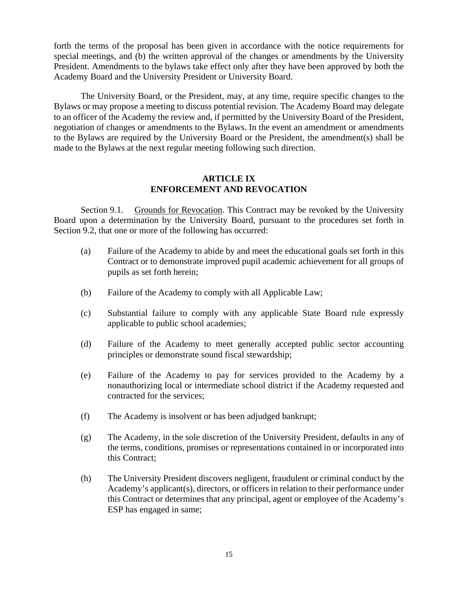forth the terms of the proposal has been given in accordance with the notice requirements for special meetings, and (b) the written approval of the changes or amendments by the University President. Amendments to the bylaws take effect only after they have been approved by both the Academy Board and the University President or University Board.

The University Board, or the President, may, at any time, require specific changes to the Bylaws or may propose a meeting to discuss potential revision. The Academy Board may delegate to an officer of the Academy the review and, if permitted by the University Board of the President, negotiation of changes or amendments to the Bylaws. In the event an amendment or amendments to the Bylaws are required by the University Board or the President, the amendment(s) shall be made to the Bylaws at the next regular meeting following such direction.

# **ARTICLE IX ENFORCEMENT AND REVOCATION**

Section 9.1. Grounds for Revocation. This Contract may be revoked by the University Board upon a determination by the University Board, pursuant to the procedures set forth in Section 9.2, that one or more of the following has occurred:

- (a) Failure of the Academy to abide by and meet the educational goals set forth in this Contract or to demonstrate improved pupil academic achievement for all groups of pupils as set forth herein;
- (b) Failure of the Academy to comply with all Applicable Law;
- (c) Substantial failure to comply with any applicable State Board rule expressly applicable to public school academies;
- (d) Failure of the Academy to meet generally accepted public sector accounting principles or demonstrate sound fiscal stewardship;
- (e) Failure of the Academy to pay for services provided to the Academy by a nonauthorizing local or intermediate school district if the Academy requested and contracted for the services;
- (f) The Academy is insolvent or has been adjudged bankrupt;
- (g) The Academy, in the sole discretion of the University President, defaults in any of the terms, conditions, promises or representations contained in or incorporated into this Contract;
- (h) The University President discovers negligent, fraudulent or criminal conduct by the Academy's applicant(s), directors, or officers in relation to their performance under this Contract or determines that any principal, agent or employee of the Academy's ESP has engaged in same;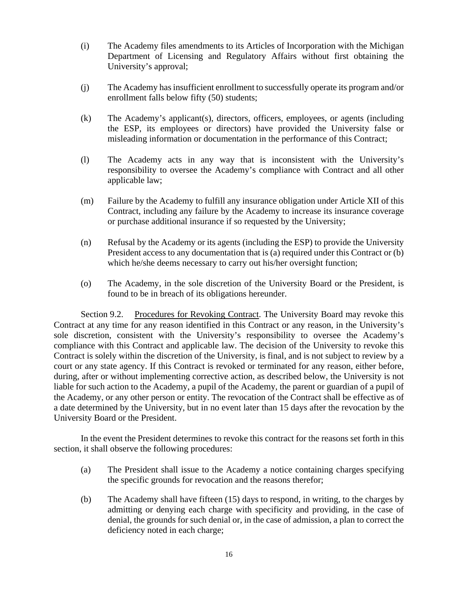- (i) The Academy files amendments to its Articles of Incorporation with the Michigan Department of Licensing and Regulatory Affairs without first obtaining the University's approval;
- (j) The Academy has insufficient enrollment to successfully operate its program and/or enrollment falls below fifty (50) students;
- (k) The Academy's applicant(s), directors, officers, employees, or agents (including the ESP, its employees or directors) have provided the University false or misleading information or documentation in the performance of this Contract;
- (l) The Academy acts in any way that is inconsistent with the University's responsibility to oversee the Academy's compliance with Contract and all other applicable law;
- (m) Failure by the Academy to fulfill any insurance obligation under Article XII of this Contract, including any failure by the Academy to increase its insurance coverage or purchase additional insurance if so requested by the University;
- (n) Refusal by the Academy or its agents (including the ESP) to provide the University President access to any documentation that is (a) required under this Contract or (b) which he/she deems necessary to carry out his/her oversight function;
- (o) The Academy, in the sole discretion of the University Board or the President, is found to be in breach of its obligations hereunder.

Section 9.2. Procedures for Revoking Contract. The University Board may revoke this Contract at any time for any reason identified in this Contract or any reason, in the University's sole discretion, consistent with the University's responsibility to oversee the Academy's compliance with this Contract and applicable law. The decision of the University to revoke this Contract is solely within the discretion of the University, is final, and is not subject to review by a court or any state agency. If this Contract is revoked or terminated for any reason, either before, during, after or without implementing corrective action, as described below, the University is not liable for such action to the Academy, a pupil of the Academy, the parent or guardian of a pupil of the Academy, or any other person or entity. The revocation of the Contract shall be effective as of a date determined by the University, but in no event later than 15 days after the revocation by the University Board or the President.

In the event the President determines to revoke this contract for the reasons set forth in this section, it shall observe the following procedures:

- (a) The President shall issue to the Academy a notice containing charges specifying the specific grounds for revocation and the reasons therefor;
- (b) The Academy shall have fifteen (15) days to respond, in writing, to the charges by admitting or denying each charge with specificity and providing, in the case of denial, the grounds for such denial or, in the case of admission, a plan to correct the deficiency noted in each charge;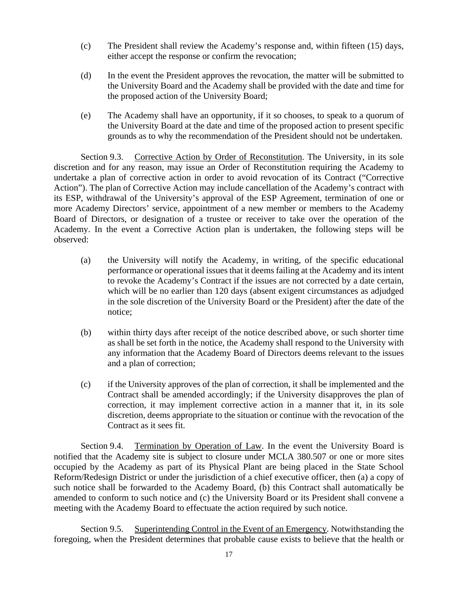- (c) The President shall review the Academy's response and, within fifteen (15) days, either accept the response or confirm the revocation;
- (d) In the event the President approves the revocation, the matter will be submitted to the University Board and the Academy shall be provided with the date and time for the proposed action of the University Board;
- (e) The Academy shall have an opportunity, if it so chooses, to speak to a quorum of the University Board at the date and time of the proposed action to present specific grounds as to why the recommendation of the President should not be undertaken.

Section 9.3. Corrective Action by Order of Reconstitution. The University, in its sole discretion and for any reason, may issue an Order of Reconstitution requiring the Academy to undertake a plan of corrective action in order to avoid revocation of its Contract ("Corrective Action"). The plan of Corrective Action may include cancellation of the Academy's contract with its ESP, withdrawal of the University's approval of the ESP Agreement, termination of one or more Academy Directors' service, appointment of a new member or members to the Academy Board of Directors, or designation of a trustee or receiver to take over the operation of the Academy. In the event a Corrective Action plan is undertaken, the following steps will be observed:

- (a) the University will notify the Academy, in writing, of the specific educational performance or operational issues that it deems failing at the Academy and its intent to revoke the Academy's Contract if the issues are not corrected by a date certain, which will be no earlier than 120 days (absent exigent circumstances as adjudged in the sole discretion of the University Board or the President) after the date of the notice;
- (b) within thirty days after receipt of the notice described above, or such shorter time as shall be set forth in the notice, the Academy shall respond to the University with any information that the Academy Board of Directors deems relevant to the issues and a plan of correction;
- (c) if the University approves of the plan of correction, it shall be implemented and the Contract shall be amended accordingly; if the University disapproves the plan of correction, it may implement corrective action in a manner that it, in its sole discretion, deems appropriate to the situation or continue with the revocation of the Contract as it sees fit.

Section 9.4. Termination by Operation of Law. In the event the University Board is notified that the Academy site is subject to closure under MCLA 380.507 or one or more sites occupied by the Academy as part of its Physical Plant are being placed in the State School Reform/Redesign District or under the jurisdiction of a chief executive officer, then (a) a copy of such notice shall be forwarded to the Academy Board, (b) this Contract shall automatically be amended to conform to such notice and (c) the University Board or its President shall convene a meeting with the Academy Board to effectuate the action required by such notice.

Section 9.5. Superintending Control in the Event of an Emergency. Notwithstanding the foregoing, when the President determines that probable cause exists to believe that the health or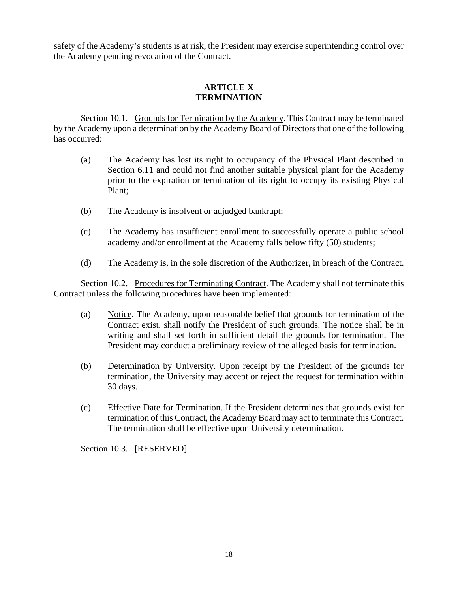safety of the Academy's students is at risk, the President may exercise superintending control over the Academy pending revocation of the Contract.

# **ARTICLE X TERMINATION**

Section 10.1. Grounds for Termination by the Academy. This Contract may be terminated by the Academy upon a determination by the Academy Board of Directors that one of the following has occurred:

- (a) The Academy has lost its right to occupancy of the Physical Plant described in Section 6.11 and could not find another suitable physical plant for the Academy prior to the expiration or termination of its right to occupy its existing Physical Plant;
- (b) The Academy is insolvent or adjudged bankrupt;
- (c) The Academy has insufficient enrollment to successfully operate a public school academy and/or enrollment at the Academy falls below fifty (50) students;
- (d) The Academy is, in the sole discretion of the Authorizer, in breach of the Contract.

Section 10.2. Procedures for Terminating Contract. The Academy shall not terminate this Contract unless the following procedures have been implemented:

- (a) Notice. The Academy, upon reasonable belief that grounds for termination of the Contract exist, shall notify the President of such grounds. The notice shall be in writing and shall set forth in sufficient detail the grounds for termination. The President may conduct a preliminary review of the alleged basis for termination.
- (b) Determination by University. Upon receipt by the President of the grounds for termination, the University may accept or reject the request for termination within 30 days.
- (c) Effective Date for Termination. If the President determines that grounds exist for termination of this Contract, the Academy Board may act to terminate this Contract. The termination shall be effective upon University determination.

Section 10.3. [RESERVED].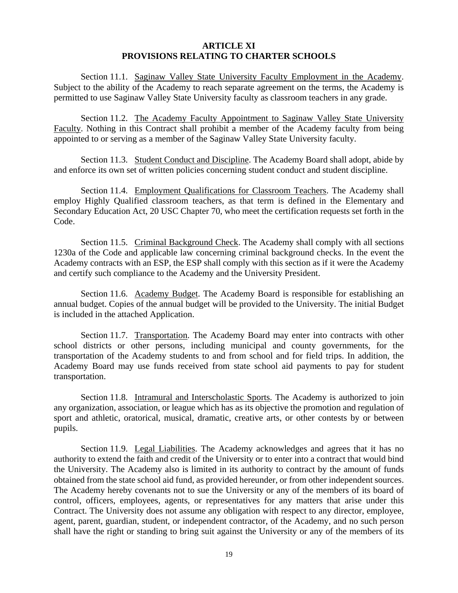#### **ARTICLE XI PROVISIONS RELATING TO CHARTER SCHOOLS**

Section 11.1. Saginaw Valley State University Faculty Employment in the Academy. Subject to the ability of the Academy to reach separate agreement on the terms, the Academy is permitted to use Saginaw Valley State University faculty as classroom teachers in any grade.

Section 11.2. The Academy Faculty Appointment to Saginaw Valley State University Faculty. Nothing in this Contract shall prohibit a member of the Academy faculty from being appointed to or serving as a member of the Saginaw Valley State University faculty.

Section 11.3. Student Conduct and Discipline. The Academy Board shall adopt, abide by and enforce its own set of written policies concerning student conduct and student discipline.

Section 11.4. Employment Qualifications for Classroom Teachers. The Academy shall employ Highly Qualified classroom teachers, as that term is defined in the Elementary and Secondary Education Act, 20 USC Chapter 70, who meet the certification requests set forth in the Code.

Section 11.5. Criminal Background Check. The Academy shall comply with all sections 1230a of the Code and applicable law concerning criminal background checks. In the event the Academy contracts with an ESP, the ESP shall comply with this section as if it were the Academy and certify such compliance to the Academy and the University President.

Section 11.6. Academy Budget. The Academy Board is responsible for establishing an annual budget. Copies of the annual budget will be provided to the University. The initial Budget is included in the attached Application.

Section 11.7. Transportation. The Academy Board may enter into contracts with other school districts or other persons, including municipal and county governments, for the transportation of the Academy students to and from school and for field trips. In addition, the Academy Board may use funds received from state school aid payments to pay for student transportation.

Section 11.8. Intramural and Interscholastic Sports. The Academy is authorized to join any organization, association, or league which has as its objective the promotion and regulation of sport and athletic, oratorical, musical, dramatic, creative arts, or other contests by or between pupils.

Section 11.9. Legal Liabilities. The Academy acknowledges and agrees that it has no authority to extend the faith and credit of the University or to enter into a contract that would bind the University. The Academy also is limited in its authority to contract by the amount of funds obtained from the state school aid fund, as provided hereunder, or from other independent sources. The Academy hereby covenants not to sue the University or any of the members of its board of control, officers, employees, agents, or representatives for any matters that arise under this Contract. The University does not assume any obligation with respect to any director, employee, agent, parent, guardian, student, or independent contractor, of the Academy, and no such person shall have the right or standing to bring suit against the University or any of the members of its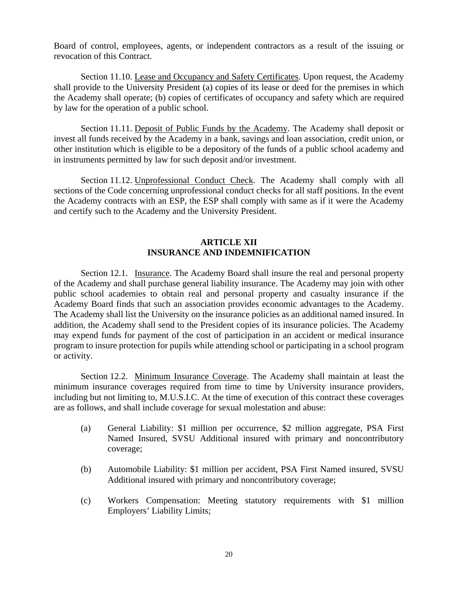Board of control, employees, agents, or independent contractors as a result of the issuing or revocation of this Contract.

Section 11.10. Lease and Occupancy and Safety Certificates. Upon request, the Academy shall provide to the University President (a) copies of its lease or deed for the premises in which the Academy shall operate; (b) copies of certificates of occupancy and safety which are required by law for the operation of a public school.

Section 11.11. Deposit of Public Funds by the Academy. The Academy shall deposit or invest all funds received by the Academy in a bank, savings and loan association, credit union, or other institution which is eligible to be a depository of the funds of a public school academy and in instruments permitted by law for such deposit and/or investment.

Section 11.12. Unprofessional Conduct Check. The Academy shall comply with all sections of the Code concerning unprofessional conduct checks for all staff positions. In the event the Academy contracts with an ESP, the ESP shall comply with same as if it were the Academy and certify such to the Academy and the University President.

### **ARTICLE XII INSURANCE AND INDEMNIFICATION**

Section 12.1. Insurance. The Academy Board shall insure the real and personal property of the Academy and shall purchase general liability insurance. The Academy may join with other public school academies to obtain real and personal property and casualty insurance if the Academy Board finds that such an association provides economic advantages to the Academy. The Academy shall list the University on the insurance policies as an additional named insured. In addition, the Academy shall send to the President copies of its insurance policies. The Academy may expend funds for payment of the cost of participation in an accident or medical insurance program to insure protection for pupils while attending school or participating in a school program or activity.

Section 12.2. Minimum Insurance Coverage. The Academy shall maintain at least the minimum insurance coverages required from time to time by University insurance providers, including but not limiting to, M.U.S.I.C. At the time of execution of this contract these coverages are as follows, and shall include coverage for sexual molestation and abuse:

- (a) General Liability: \$1 million per occurrence, \$2 million aggregate, PSA First Named Insured, SVSU Additional insured with primary and noncontributory coverage;
- (b) Automobile Liability: \$1 million per accident, PSA First Named insured, SVSU Additional insured with primary and noncontributory coverage;
- (c) Workers Compensation: Meeting statutory requirements with \$1 million Employers' Liability Limits;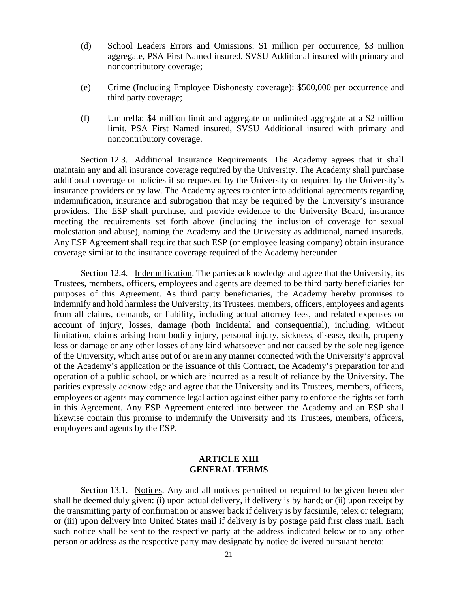- (d) School Leaders Errors and Omissions: \$1 million per occurrence, \$3 million aggregate, PSA First Named insured, SVSU Additional insured with primary and noncontributory coverage;
- (e) Crime (Including Employee Dishonesty coverage): \$500,000 per occurrence and third party coverage;
- (f) Umbrella: \$4 million limit and aggregate or unlimited aggregate at a \$2 million limit, PSA First Named insured, SVSU Additional insured with primary and noncontributory coverage.

Section 12.3. Additional Insurance Requirements. The Academy agrees that it shall maintain any and all insurance coverage required by the University. The Academy shall purchase additional coverage or policies if so requested by the University or required by the University's insurance providers or by law. The Academy agrees to enter into additional agreements regarding indemnification, insurance and subrogation that may be required by the University's insurance providers. The ESP shall purchase, and provide evidence to the University Board, insurance meeting the requirements set forth above (including the inclusion of coverage for sexual molestation and abuse), naming the Academy and the University as additional, named insureds. Any ESP Agreement shall require that such ESP (or employee leasing company) obtain insurance coverage similar to the insurance coverage required of the Academy hereunder.

Section 12.4. Indemnification. The parties acknowledge and agree that the University, its Trustees, members, officers, employees and agents are deemed to be third party beneficiaries for purposes of this Agreement. As third party beneficiaries, the Academy hereby promises to indemnify and hold harmless the University, its Trustees, members, officers, employees and agents from all claims, demands, or liability, including actual attorney fees, and related expenses on account of injury, losses, damage (both incidental and consequential), including, without limitation, claims arising from bodily injury, personal injury, sickness, disease, death, property loss or damage or any other losses of any kind whatsoever and not caused by the sole negligence of the University, which arise out of or are in any manner connected with the University's approval of the Academy's application or the issuance of this Contract, the Academy's preparation for and operation of a public school, or which are incurred as a result of reliance by the University. The parities expressly acknowledge and agree that the University and its Trustees, members, officers, employees or agents may commence legal action against either party to enforce the rights set forth in this Agreement. Any ESP Agreement entered into between the Academy and an ESP shall likewise contain this promise to indemnify the University and its Trustees, members, officers, employees and agents by the ESP.

### **ARTICLE XIII GENERAL TERMS**

Section 13.1. Notices. Any and all notices permitted or required to be given hereunder shall be deemed duly given: (i) upon actual delivery, if delivery is by hand; or (ii) upon receipt by the transmitting party of confirmation or answer back if delivery is by facsimile, telex or telegram; or (iii) upon delivery into United States mail if delivery is by postage paid first class mail. Each such notice shall be sent to the respective party at the address indicated below or to any other person or address as the respective party may designate by notice delivered pursuant hereto: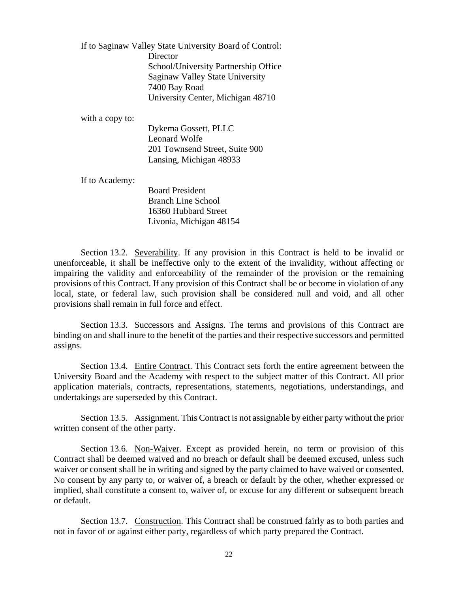If to Saginaw Valley State University Board of Control: **Director**  School/University Partnership Office Saginaw Valley State University 7400 Bay Road University Center, Michigan 48710

with a copy to:

 Dykema Gossett, PLLC Leonard Wolfe 201 Townsend Street, Suite 900 Lansing, Michigan 48933

If to Academy:

 Board President Branch Line School 16360 Hubbard Street Livonia, Michigan 48154

Section 13.2. Severability. If any provision in this Contract is held to be invalid or unenforceable, it shall be ineffective only to the extent of the invalidity, without affecting or impairing the validity and enforceability of the remainder of the provision or the remaining provisions of this Contract. If any provision of this Contract shall be or become in violation of any local, state, or federal law, such provision shall be considered null and void, and all other provisions shall remain in full force and effect.

Section 13.3. Successors and Assigns. The terms and provisions of this Contract are binding on and shall inure to the benefit of the parties and their respective successors and permitted assigns.

Section 13.4. Entire Contract. This Contract sets forth the entire agreement between the University Board and the Academy with respect to the subject matter of this Contract. All prior application materials, contracts, representations, statements, negotiations, understandings, and undertakings are superseded by this Contract.

Section 13.5. Assignment. This Contract is not assignable by either party without the prior written consent of the other party.

Section 13.6. Non-Waiver. Except as provided herein, no term or provision of this Contract shall be deemed waived and no breach or default shall be deemed excused, unless such waiver or consent shall be in writing and signed by the party claimed to have waived or consented. No consent by any party to, or waiver of, a breach or default by the other, whether expressed or implied, shall constitute a consent to, waiver of, or excuse for any different or subsequent breach or default.

Section 13.7. Construction. This Contract shall be construed fairly as to both parties and not in favor of or against either party, regardless of which party prepared the Contract.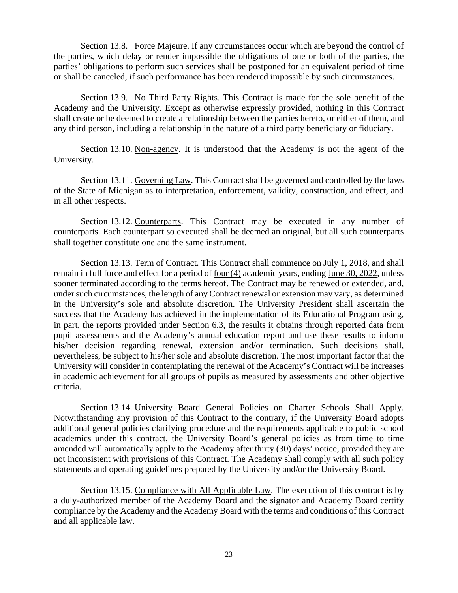Section 13.8. Force Majeure. If any circumstances occur which are beyond the control of the parties, which delay or render impossible the obligations of one or both of the parties, the parties' obligations to perform such services shall be postponed for an equivalent period of time or shall be canceled, if such performance has been rendered impossible by such circumstances.

Section 13.9. No Third Party Rights. This Contract is made for the sole benefit of the Academy and the University. Except as otherwise expressly provided, nothing in this Contract shall create or be deemed to create a relationship between the parties hereto, or either of them, and any third person, including a relationship in the nature of a third party beneficiary or fiduciary.

Section 13.10. Non-agency. It is understood that the Academy is not the agent of the University.

Section 13.11. Governing Law. This Contract shall be governed and controlled by the laws of the State of Michigan as to interpretation, enforcement, validity, construction, and effect, and in all other respects.

Section 13.12. Counterparts. This Contract may be executed in any number of counterparts. Each counterpart so executed shall be deemed an original, but all such counterparts shall together constitute one and the same instrument.

Section 13.13. Term of Contract. This Contract shall commence on July 1, 2018, and shall remain in full force and effect for a period of four (4) academic years, ending June 30, 2022, unless sooner terminated according to the terms hereof. The Contract may be renewed or extended, and, under such circumstances, the length of any Contract renewal or extension may vary, as determined in the University's sole and absolute discretion. The University President shall ascertain the success that the Academy has achieved in the implementation of its Educational Program using, in part, the reports provided under Section 6.3, the results it obtains through reported data from pupil assessments and the Academy's annual education report and use these results to inform his/her decision regarding renewal, extension and/or termination. Such decisions shall, nevertheless, be subject to his/her sole and absolute discretion. The most important factor that the University will consider in contemplating the renewal of the Academy's Contract will be increases in academic achievement for all groups of pupils as measured by assessments and other objective criteria.

Section 13.14. University Board General Policies on Charter Schools Shall Apply. Notwithstanding any provision of this Contract to the contrary, if the University Board adopts additional general policies clarifying procedure and the requirements applicable to public school academics under this contract, the University Board's general policies as from time to time amended will automatically apply to the Academy after thirty (30) days' notice, provided they are not inconsistent with provisions of this Contract. The Academy shall comply with all such policy statements and operating guidelines prepared by the University and/or the University Board.

Section 13.15. Compliance with All Applicable Law. The execution of this contract is by a duly-authorized member of the Academy Board and the signator and Academy Board certify compliance by the Academy and the Academy Board with the terms and conditions of this Contract and all applicable law.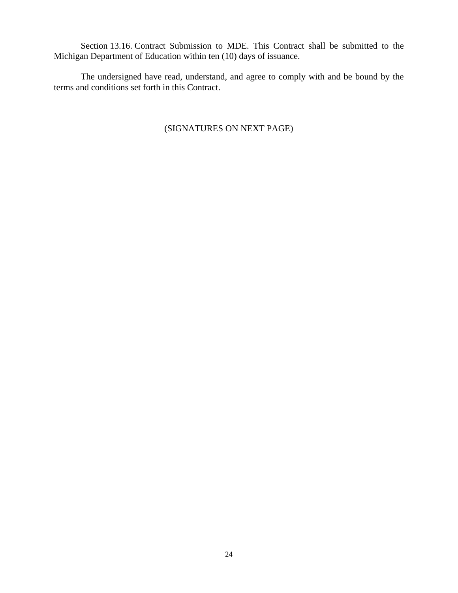Section 13.16. Contract Submission to MDE. This Contract shall be submitted to the Michigan Department of Education within ten (10) days of issuance.

 The undersigned have read, understand, and agree to comply with and be bound by the terms and conditions set forth in this Contract.

# (SIGNATURES ON NEXT PAGE)